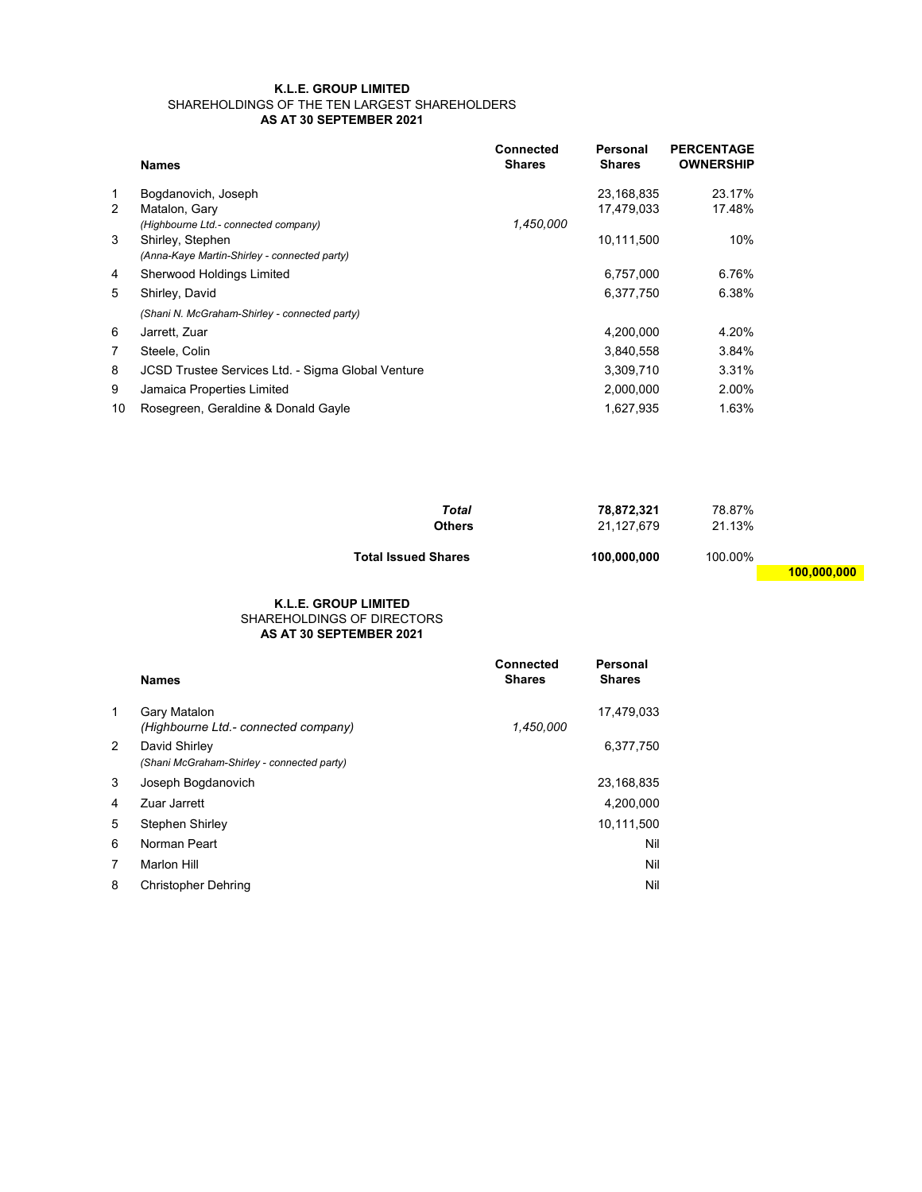## K.L.E. GROUP LIMITED SHAREHOLDINGS OF THE TEN LARGEST SHAREHOLDERS AS AT 30 SEPTEMBER 2021

|                | <b>Names</b>                                      | <b>Connected</b><br><b>Shares</b> | Personal<br><b>Shares</b> | <b>PERCENTAGE</b><br><b>OWNERSHIP</b> |
|----------------|---------------------------------------------------|-----------------------------------|---------------------------|---------------------------------------|
| 1              | Bogdanovich, Joseph                               |                                   | 23.168.835                | 23.17%                                |
| 2              | Matalon, Gary                                     |                                   | 17,479,033                | 17.48%                                |
|                | (Highbourne Ltd.- connected company)              | 1.450.000                         |                           |                                       |
| 3              | Shirley, Stephen                                  |                                   | 10,111,500                | 10%                                   |
|                | (Anna-Kaye Martin-Shirley - connected party)      |                                   |                           |                                       |
| 4              | Sherwood Holdings Limited                         |                                   | 6.757.000                 | 6.76%                                 |
| 5              | Shirley, David                                    |                                   | 6,377,750                 | 6.38%                                 |
|                | (Shani N. McGraham-Shirley - connected party)     |                                   |                           |                                       |
| 6              | Jarrett, Zuar                                     |                                   | 4,200,000                 | 4.20%                                 |
| $\overline{7}$ | Steele, Colin                                     |                                   | 3,840,558                 | 3.84%                                 |
| 8              | JCSD Trustee Services Ltd. - Sigma Global Venture |                                   | 3,309,710                 | 3.31%                                 |
| 9              | Jamaica Properties Limited                        |                                   | 2,000,000                 | 2.00%                                 |
| 10             | Rosegreen, Geraldine & Donald Gayle               |                                   | 1.627.935                 | 1.63%                                 |

| Total<br>Others            | 78,872,321<br>21.127.679 | 78.87%<br>21.13% |             |
|----------------------------|--------------------------|------------------|-------------|
| <b>Total Issued Shares</b> | 100.000.000              | 100.00%          |             |
|                            |                          |                  | 100,000,000 |

## AS AT 30 SEPTEMBER 2021 K.L.E. GROUP LIMITED SHAREHOLDINGS OF DIRECTORS

|              | <b>Names</b>                                                | <b>Connected</b><br><b>Shares</b> | <b>Personal</b><br><b>Shares</b> |
|--------------|-------------------------------------------------------------|-----------------------------------|----------------------------------|
| $\mathbf{1}$ | Gary Matalon<br>(Highbourne Ltd.- connected company)        | 1,450,000                         | 17,479,033                       |
| 2            | David Shirley<br>(Shani McGraham-Shirley - connected party) |                                   | 6,377,750                        |
| 3            | Joseph Bogdanovich                                          |                                   | 23,168,835                       |
| 4            | Zuar Jarrett                                                |                                   | 4,200,000                        |
| 5            | Stephen Shirley                                             |                                   | 10,111,500                       |
| 6            | Norman Peart                                                |                                   | Nil                              |
| 7            | <b>Marlon Hill</b>                                          |                                   | Nil                              |
| 8            | <b>Christopher Dehring</b>                                  |                                   | Nil                              |